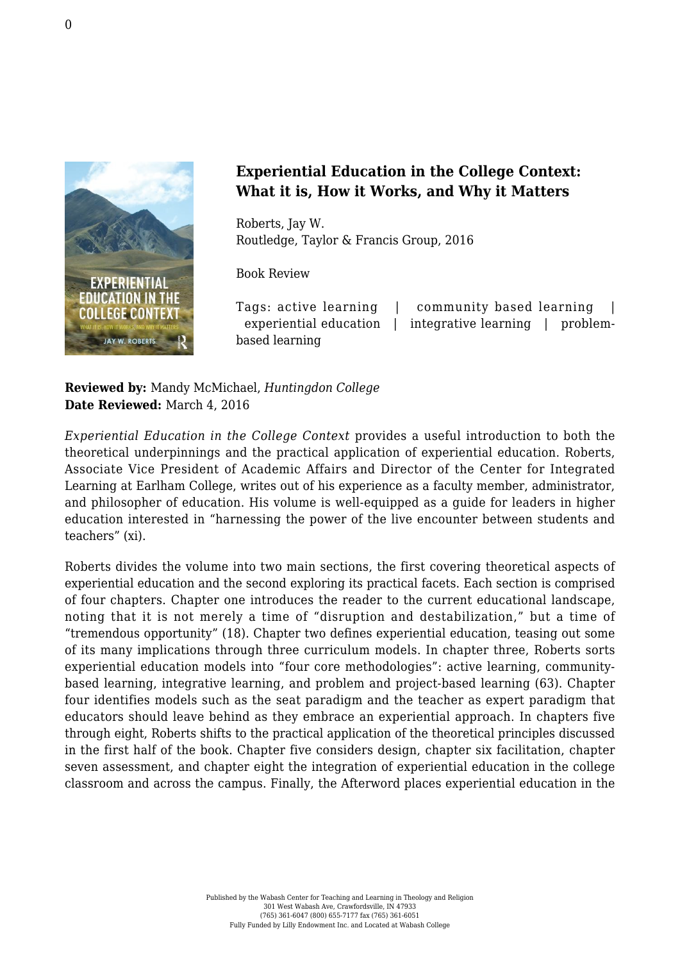

## **Experiential Education in the College Context: What it is, How it Works, and Why it Matters**

Roberts, Jay W. [Routledge, Taylor & Francis Group, 2016](https://www.routledge.com/products/9781138025608)

Book Review

Tags: active learning | community based learning | experiential education | integrative learning | problembased learning

**Reviewed by:** Mandy McMichael, *Huntingdon College* **Date Reviewed:** March 4, 2016

*Experiential Education in the College Context* provides a useful introduction to both the theoretical underpinnings and the practical application of experiential education. Roberts, Associate Vice President of Academic Affairs and Director of the Center for Integrated Learning at Earlham College, writes out of his experience as a faculty member, administrator, and philosopher of education. His volume is well-equipped as a guide for leaders in higher education interested in "harnessing the power of the live encounter between students and teachers" (xi).

Roberts divides the volume into two main sections, the first covering theoretical aspects of experiential education and the second exploring its practical facets. Each section is comprised of four chapters. Chapter one introduces the reader to the current educational landscape, noting that it is not merely a time of "disruption and destabilization," but a time of "tremendous opportunity" (18). Chapter two defines experiential education, teasing out some of its many implications through three curriculum models. In chapter three, Roberts sorts experiential education models into "four core methodologies": active learning, communitybased learning, integrative learning, and problem and project-based learning (63). Chapter four identifies models such as the seat paradigm and the teacher as expert paradigm that educators should leave behind as they embrace an experiential approach. In chapters five through eight, Roberts shifts to the practical application of the theoretical principles discussed in the first half of the book. Chapter five considers design, chapter six facilitation, chapter seven assessment, and chapter eight the integration of experiential education in the college classroom and across the campus. Finally, the Afterword places experiential education in the